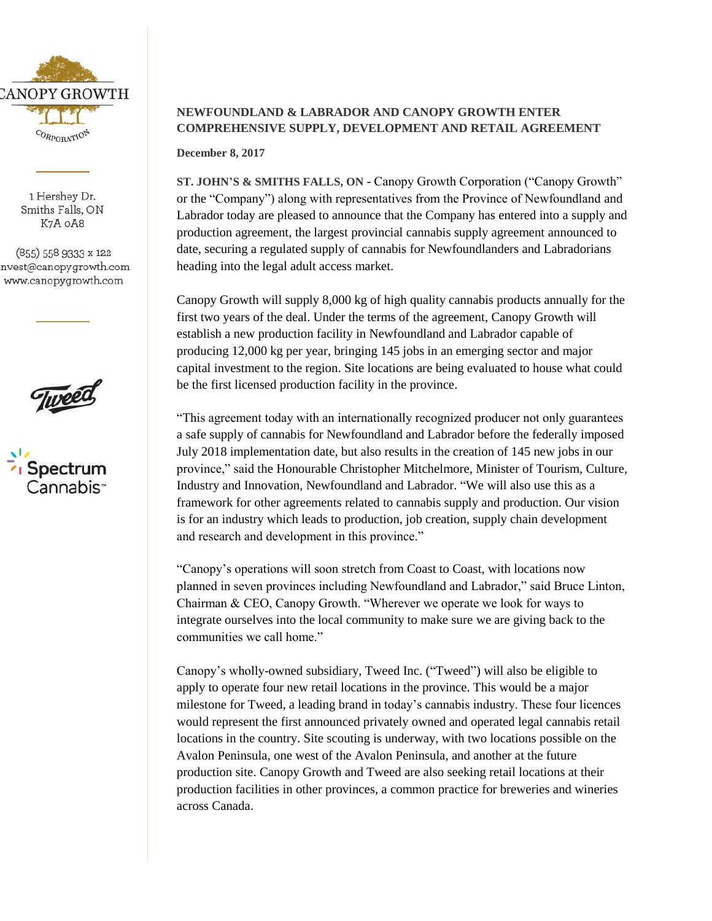

1 Hershey Dr. Smiths Falls, ON K7A OA8

(855) 558 9333 x 122 nvest@canopygrowth.com www.canopygrowth.com





## **NEWFOUNDLAND & LABRADOR AND CANOPY GROWTH ENTER COMPREHENSIVE SUPPLY, DEVELOPMENT AND RETAIL AGREEMENT**

**December 8, 2017**

**ST. JOHN'S & SMITHS FALLS, ON** - Canopy Growth Corporation ("Canopy Growth" or the "Company") along with representatives from the Province of Newfoundland and Labrador today are pleased to announce that the Company has entered into a supply and production agreement, the largest provincial cannabis supply agreement announced to date, securing a regulated supply of cannabis for Newfoundlanders and Labradorians heading into the legal adult access market.

Canopy Growth will supply 8,000 kg of high quality cannabis products annually for the first two years of the deal. Under the terms of the agreement, Canopy Growth will establish a new production facility in Newfoundland and Labrador capable of producing 12,000 kg per year, bringing 145 jobs in an emerging sector and major capital investment to the region. Site locations are being evaluated to house what could be the first licensed production facility in the province.

"This agreement today with an internationally recognized producer not only guarantees a safe supply of cannabis for Newfoundland and Labrador before the federally imposed July 2018 implementation date, but also results in the creation of 145 new jobs in our province," said the Honourable Christopher Mitchelmore, Minister of Tourism, Culture, Industry and Innovation, Newfoundland and Labrador. "We will also use this as a framework for other agreements related to cannabis supply and production. Our vision is for an industry which leads to production, job creation, supply chain development and research and development in this province."

"Canopy's operations will soon stretch from Coast to Coast, with locations now planned in seven provinces including Newfoundland and Labrador," said Bruce Linton, Chairman & CEO, Canopy Growth. "Wherever we operate we look for ways to integrate ourselves into the local community to make sure we are giving back to the communities we call home."

Canopy's wholly-owned subsidiary, Tweed Inc. ("Tweed") will also be eligible to apply to operate four new retail locations in the province. This would be a major milestone for Tweed, a leading brand in today's cannabis industry. These four licences would represent the first announced privately owned and operated legal cannabis retail locations in the country. Site scouting is underway, with two locations possible on the Avalon Peninsula, one west of the Avalon Peninsula, and another at the future production site. Canopy Growth and Tweed are also seeking retail locations at their production facilities in other provinces, a common practice for breweries and wineries across Canada.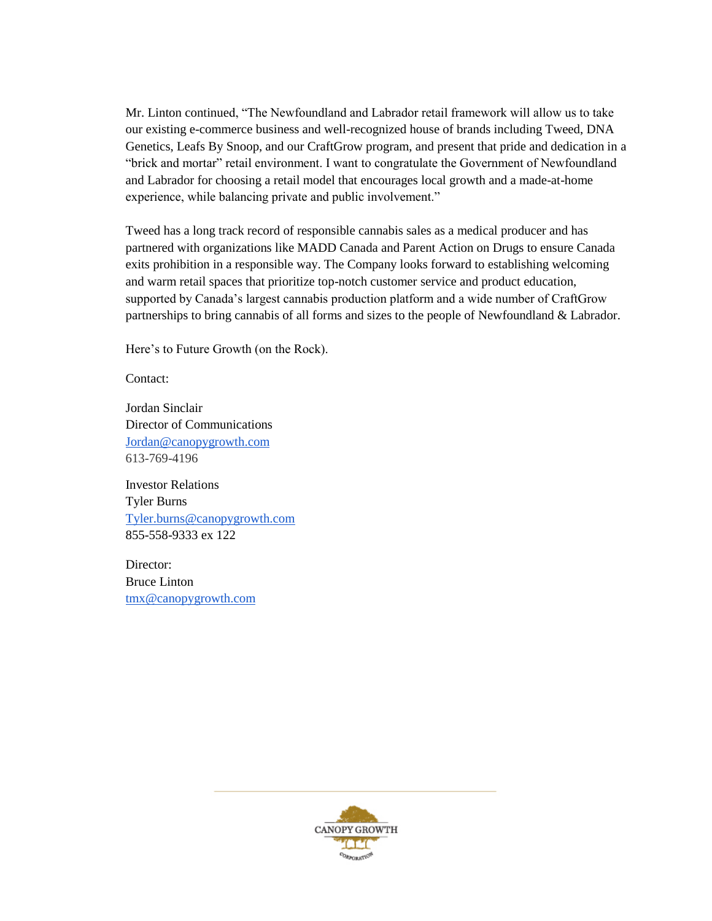Mr. Linton continued, "The Newfoundland and Labrador retail framework will allow us to take our existing e-commerce business and well-recognized house of brands including Tweed, DNA Genetics, Leafs By Snoop, and our CraftGrow program, and present that pride and dedication in a "brick and mortar" retail environment. I want to congratulate the Government of Newfoundland and Labrador for choosing a retail model that encourages local growth and a made-at-home experience, while balancing private and public involvement."

Tweed has a long track record of responsible cannabis sales as a medical producer and has partnered with organizations like MADD Canada and Parent Action on Drugs to ensure Canada exits prohibition in a responsible way. The Company looks forward to establishing welcoming and warm retail spaces that prioritize top-notch customer service and product education, supported by Canada's largest cannabis production platform and a wide number of CraftGrow partnerships to bring cannabis of all forms and sizes to the people of Newfoundland & Labrador.

Here's to Future Growth (on the Rock).

Contact:

Jordan Sinclair Director of Communications [Jordan@canopygrowth.com](mailto:Jordan@canopygrowth.com) 613-769-4196

Investor Relations Tyler Burns [Tyler.burns@canopygrowth.com](mailto:Tyler.burns@canopygrowth.com) 855-558-9333 ex 122

Director: Bruce Linton [tmx@canopygrowth.com](mailto:tmx@canopygrowth.com)